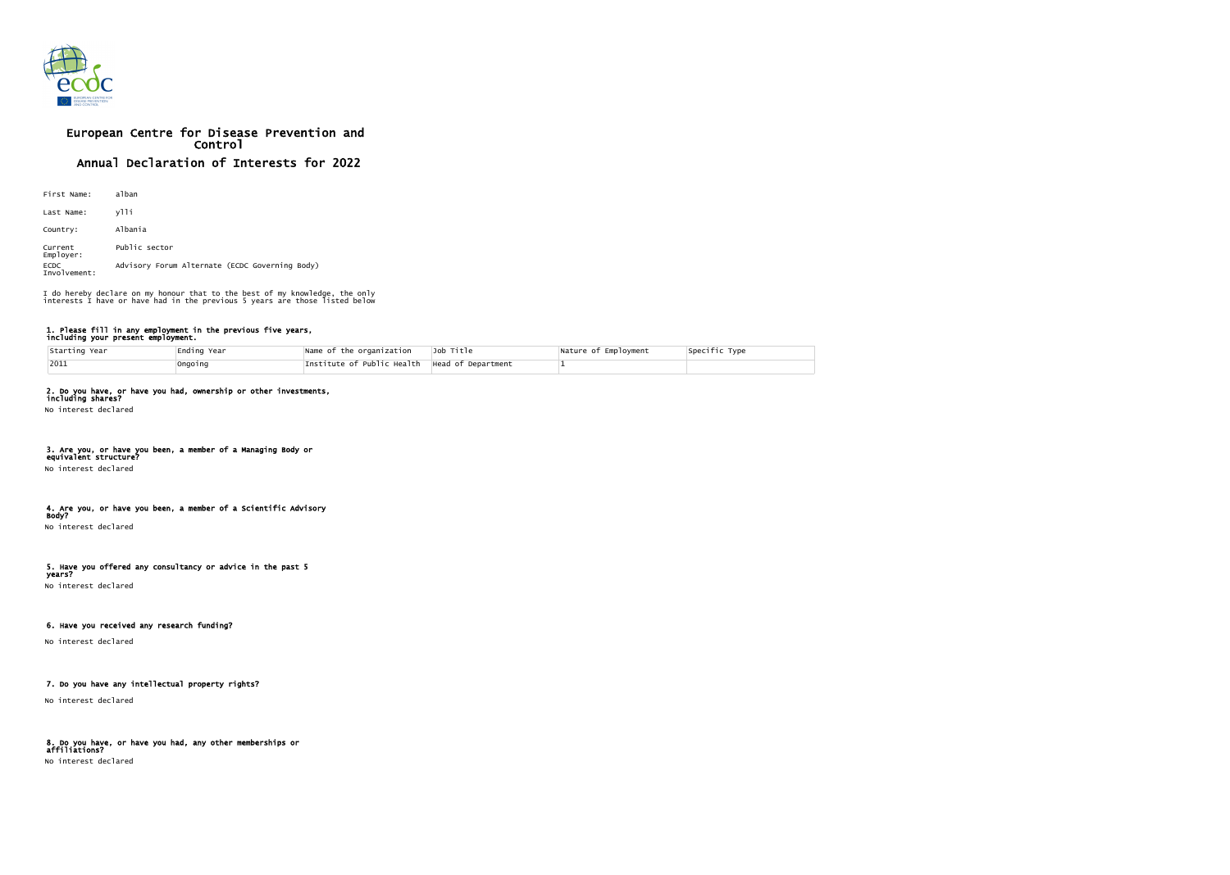

# European Centre for Disease Prevention and Control Annual Declaration of Interests for 2022

| First Name:                 | alban                                          |
|-----------------------------|------------------------------------------------|
| Last Name:                  | ylli                                           |
| Country:                    | Albania                                        |
| Current<br>Employer:        | Public sector                                  |
| <b>ECDC</b><br>Involvement: | Advisory Forum Alternate (ECDC Governing Body) |

### 1. Please fill in any employment in the previous five years, including your present employment.

| Starting Year | Ending Year | Name of the organization                        | Job Title | Nature of Employment | Specific Type |
|---------------|-------------|-------------------------------------------------|-----------|----------------------|---------------|
| $ 2011$       | Ongoing     | Institute of Public Health   Head of Department |           |                      |               |

### 2. Do you have, or have you had, ownership or other investments,

including shares? No interest declared

#### 3. Are you, or have you been, a member of a Managing Body or equivalent structure?

No interest declared

#### 4. Are you, or have you been, a member of a Scientific Advisory Body?

No interest declared

#### 5. Have you offered any consultancy or advice in the past 5 years?

No interest declared

### 6. Have you received any research funding?

No interest declared

### 7. Do you have any intellectual property rights?

No interest declared

## 8. Do you have, or have you had, any other memberships or affiliations?

No interest declared

| Specific Type |  |  |
|---------------|--|--|
|               |  |  |

I do hereby declare on my honour that to the best of my knowledge, the only interests I have or have had in the previous 5 years are those listed below